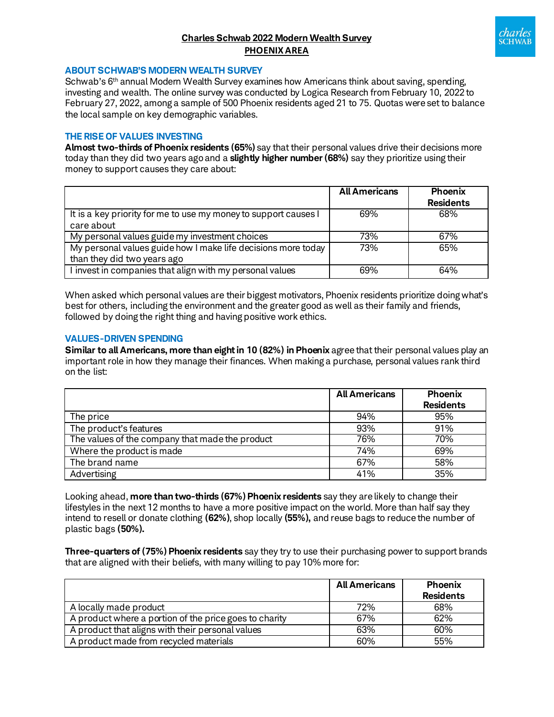# **Charles Schwab 2022 Modern Wealth Survey PHOENIX AREA**



### **ABOUT SCHWAB'S MODERN WEALTH SURVEY**

Schwab's 6<sup>th</sup> annual Modern Wealth Survey examines how Americans think about saving, spending, investing and wealth. The online survey was conducted by Logica Research from February 10, 2022 to February 27, 2022, among a sample of 500 Phoenix residents aged 21 to 75. Quotas were set to balance the local sample on key demographic variables.

### **THE RISE OF VALUES INVESTING**

**Almost two-thirds of Phoenix residents (65%)** say that their personal values drive their decisions more today than they did two years agoand a **slightly higher number(68%)** say they prioritize using their money to support causes they care about:

|                                                                 | <b>All Americans</b> | <b>Phoenix</b>   |
|-----------------------------------------------------------------|----------------------|------------------|
|                                                                 |                      | <b>Residents</b> |
| It is a key priority for me to use my money to support causes I | 69%                  | 68%              |
| care about                                                      |                      |                  |
| My personal values guide my investment choices                  | 73%                  | 67%              |
| My personal values guide how I make life decisions more today   | 73%                  | 65%              |
| than they did two years ago                                     |                      |                  |
| I invest in companies that align with my personal values        | 69%                  | 64%              |

When asked which personal values are their biggest motivators, Phoenix residents prioritize doing what's best for others, including the environment and the greater good as well as their family and friends, followed by doing the right thing and having positive work ethics.

### **VALUES-DRIVEN SPENDING**

**Similar to all Americans, more than eight in 10 (82%) in Phoenix** agree that their personal values play an important role in how they manage their finances. When making a purchase, personal values rank third on the list:

|                                                 | <b>All Americans</b> | <b>Phoenix</b><br><b>Residents</b> |
|-------------------------------------------------|----------------------|------------------------------------|
| The price                                       | 94%                  | 95%                                |
| The product's features                          | 93%                  | 91%                                |
| The values of the company that made the product | 76%                  | 70%                                |
| Where the product is made                       | 74%                  | 69%                                |
| The brand name                                  | 67%                  | 58%                                |
| Advertising                                     | 41%                  | 35%                                |

Looking ahead, **more than two-thirds (67%) Phoenix residents** say they are likely to change their lifestyles in the next 12 months to have a more positive impact on the world. More than half say they intend to resell or donate clothing **(62%)**, shop locally **(55%),** and reuse bags to reduce the number of plastic bags **(50%).**

**Three-quarters of (75%) Phoenix residents** say they try to use their purchasing power to support brands that are aligned with their beliefs, with many willing to pay 10% more for:

|                                                        | <b>All Americans</b> | <b>Phoenix</b>   |
|--------------------------------------------------------|----------------------|------------------|
|                                                        |                      | <b>Residents</b> |
| A locally made product                                 | 72%                  | 68%              |
| A product where a portion of the price goes to charity | 67%                  | 62%              |
| A product that aligns with their personal values       | 63%                  | 60%              |
| A product made from recycled materials                 | 60%                  | 55%              |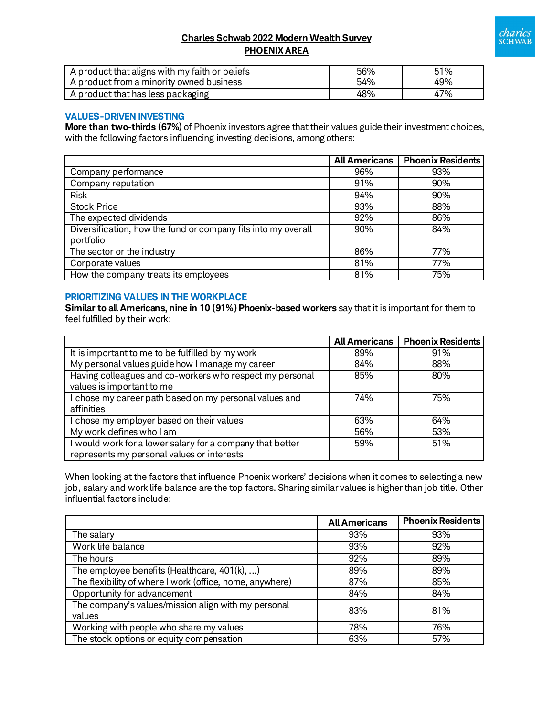

## **Charles Schwab 2022 Modern Wealth Survey PHOENIX AREA**

| A product that aligns with my faith or beliefs | 56% | 51% |
|------------------------------------------------|-----|-----|
| A product from a minority owned business       | 54% | 49% |
| . A product that has less packaging            | 48% | 47% |

## **VALUES-DRIVEN INVESTING**

**More than two-thirds (67%)** of Phoenix investors agree that their values guide their investment choices, with the following factors influencing investing decisions, among others:

|                                                               | <b>All Americans</b> | <b>Phoenix Residents</b> |
|---------------------------------------------------------------|----------------------|--------------------------|
| Company performance                                           | 96%                  | 93%                      |
| Company reputation                                            | 91%                  | 90%                      |
| <b>Risk</b>                                                   | 94%                  | 90%                      |
| <b>Stock Price</b>                                            | 93%                  | 88%                      |
| The expected dividends                                        | 92%                  | 86%                      |
| Diversification, how the fund or company fits into my overall | 90%                  | 84%                      |
| portfolio                                                     |                      |                          |
| The sector or the industry                                    | 86%                  | 77%                      |
| Corporate values                                              | 81%                  | 77%                      |
| How the company treats its employees                          | 81%                  | 75%                      |

### **PRIORITIZING VALUES IN THE WORKPLACE**

**Similar to all Americans, nine in 10 (91%) Phoenix-based workers** say that it is important for them to feel fulfilled by their work:

|                                                                                                         | <b>All Americans</b> | <b>Phoenix Residents</b> |
|---------------------------------------------------------------------------------------------------------|----------------------|--------------------------|
| It is important to me to be fulfilled by my work                                                        | 89%                  | 91%                      |
| My personal values guide how I manage my career                                                         | 84%                  | 88%                      |
| Having colleagues and co-workers who respect my personal<br>values is important to me                   | 85%                  | 80%                      |
| I chose my career path based on my personal values and<br>affinities                                    | 74%                  | 75%                      |
| I chose my employer based on their values                                                               | 63%                  | 64%                      |
| My work defines who I am                                                                                | 56%                  | 53%                      |
| I would work for a lower salary for a company that better<br>represents my personal values or interests | 59%                  | 51%                      |

When looking at the factors that influence Phoenix workers' decisions when it comes to selecting a new job, salary and work life balance are the top factors. Sharing similar values is higher than job title. Other influential factors include:

|                                                               | <b>All Americans</b> | <b>Phoenix Residents</b> |
|---------------------------------------------------------------|----------------------|--------------------------|
| The salary                                                    | 93%                  | 93%                      |
| Work life balance                                             | 93%                  | 92%                      |
| The hours                                                     | 92%                  | 89%                      |
| The employee benefits (Healthcare, 401(k), )                  | 89%                  | 89%                      |
| The flexibility of where I work (office, home, anywhere)      | 87%                  | 85%                      |
| Opportunity for advancement                                   | 84%                  | 84%                      |
| The company's values/mission align with my personal<br>values | 83%                  | 81%                      |
| Working with people who share my values                       | 78%                  | 76%                      |
| The stock options or equity compensation                      | 63%                  | 57%                      |